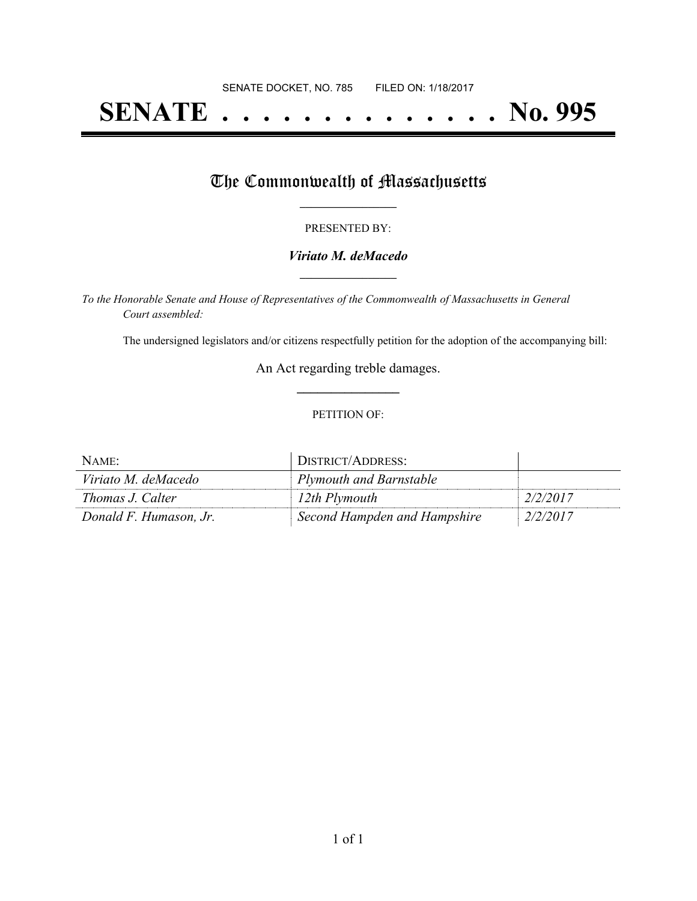# **SENATE . . . . . . . . . . . . . . No. 995**

## The Commonwealth of Massachusetts

#### PRESENTED BY:

#### *Viriato M. deMacedo* **\_\_\_\_\_\_\_\_\_\_\_\_\_\_\_\_\_**

*To the Honorable Senate and House of Representatives of the Commonwealth of Massachusetts in General Court assembled:*

The undersigned legislators and/or citizens respectfully petition for the adoption of the accompanying bill:

An Act regarding treble damages. **\_\_\_\_\_\_\_\_\_\_\_\_\_\_\_**

#### PETITION OF:

| NAME:                  | DISTRICT/ADDRESS:            |          |
|------------------------|------------------------------|----------|
| Viriato M. deMacedo    | Plymouth and Barnstable      |          |
| Thomas J. Calter       | 12th Plymouth                | 2/2/2017 |
| Donald F. Humason, Jr. | Second Hampden and Hampshire | 2/2/2017 |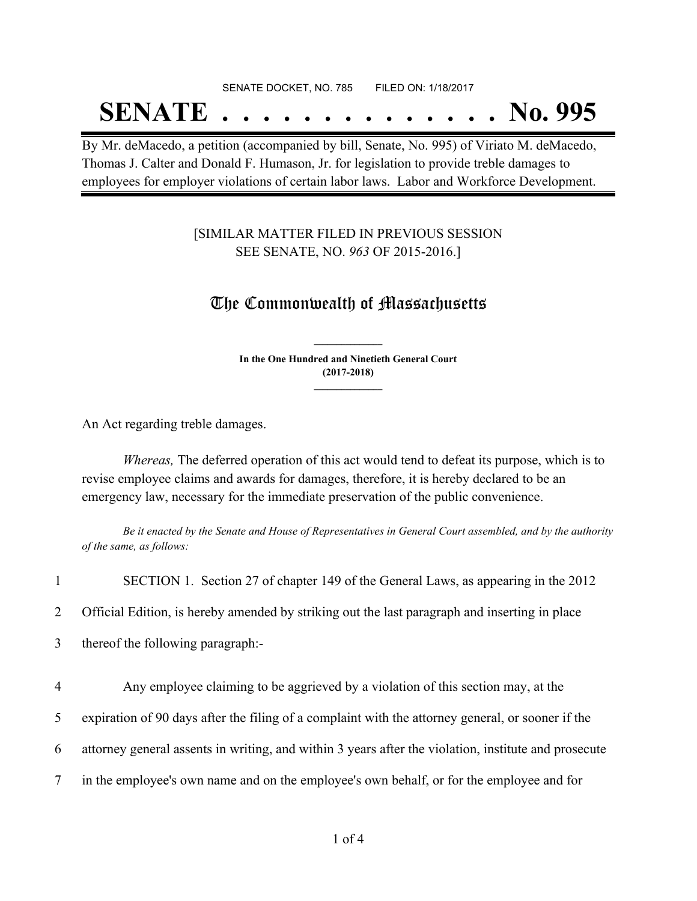# SENATE DOCKET, NO. 785 FILED ON: 1/18/2017

# **SENATE . . . . . . . . . . . . . . No. 995**

By Mr. deMacedo, a petition (accompanied by bill, Senate, No. 995) of Viriato M. deMacedo, Thomas J. Calter and Donald F. Humason, Jr. for legislation to provide treble damages to employees for employer violations of certain labor laws. Labor and Workforce Development.

### [SIMILAR MATTER FILED IN PREVIOUS SESSION SEE SENATE, NO. *963* OF 2015-2016.]

### The Commonwealth of Massachusetts

**In the One Hundred and Ninetieth General Court (2017-2018) \_\_\_\_\_\_\_\_\_\_\_\_\_\_\_**

**\_\_\_\_\_\_\_\_\_\_\_\_\_\_\_**

An Act regarding treble damages.

*Whereas,* The deferred operation of this act would tend to defeat its purpose, which is to revise employee claims and awards for damages, therefore, it is hereby declared to be an emergency law, necessary for the immediate preservation of the public convenience.

Be it enacted by the Senate and House of Representatives in General Court assembled, and by the authority *of the same, as follows:*

| $\mathbf{1}$   | SECTION 1. Section 27 of chapter 149 of the General Laws, as appearing in the 2012                   |
|----------------|------------------------------------------------------------------------------------------------------|
| $\overline{2}$ | Official Edition, is hereby amended by striking out the last paragraph and inserting in place        |
| $\mathfrak{Z}$ | thereof the following paragraph:-                                                                    |
| 4              | Any employee claiming to be aggrieved by a violation of this section may, at the                     |
| 5              | expiration of 90 days after the filing of a complaint with the attorney general, or sooner if the    |
| 6              | attorney general assents in writing, and within 3 years after the violation, institute and prosecute |
| $\tau$         | in the employee's own name and on the employee's own behalf, or for the employee and for             |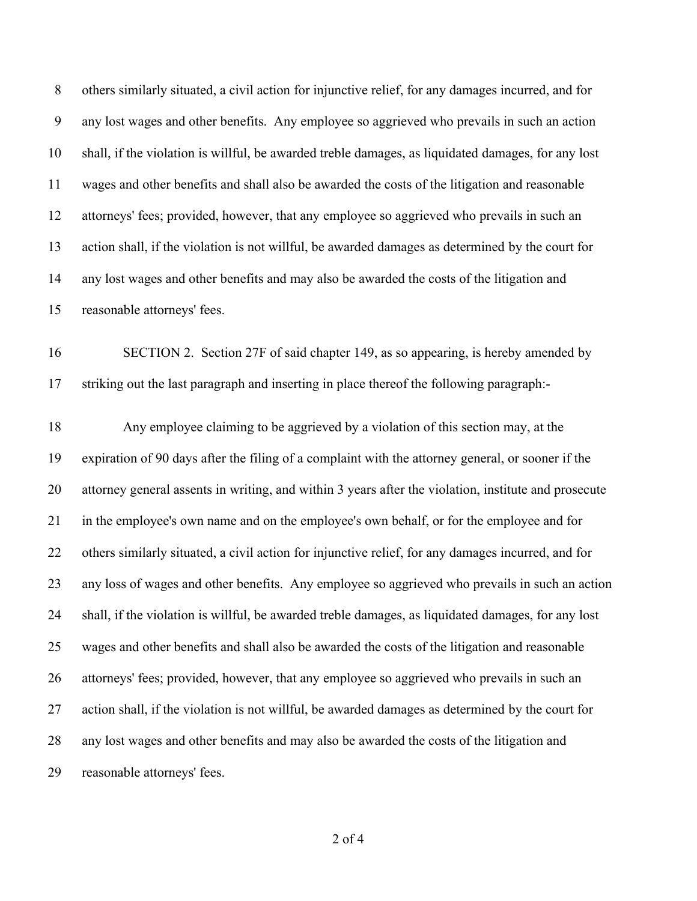others similarly situated, a civil action for injunctive relief, for any damages incurred, and for any lost wages and other benefits. Any employee so aggrieved who prevails in such an action shall, if the violation is willful, be awarded treble damages, as liquidated damages, for any lost wages and other benefits and shall also be awarded the costs of the litigation and reasonable attorneys' fees; provided, however, that any employee so aggrieved who prevails in such an action shall, if the violation is not willful, be awarded damages as determined by the court for any lost wages and other benefits and may also be awarded the costs of the litigation and reasonable attorneys' fees.

 SECTION 2. Section 27F of said chapter 149, as so appearing, is hereby amended by striking out the last paragraph and inserting in place thereof the following paragraph:-

 Any employee claiming to be aggrieved by a violation of this section may, at the expiration of 90 days after the filing of a complaint with the attorney general, or sooner if the attorney general assents in writing, and within 3 years after the violation, institute and prosecute in the employee's own name and on the employee's own behalf, or for the employee and for others similarly situated, a civil action for injunctive relief, for any damages incurred, and for any loss of wages and other benefits. Any employee so aggrieved who prevails in such an action shall, if the violation is willful, be awarded treble damages, as liquidated damages, for any lost wages and other benefits and shall also be awarded the costs of the litigation and reasonable attorneys' fees; provided, however, that any employee so aggrieved who prevails in such an action shall, if the violation is not willful, be awarded damages as determined by the court for any lost wages and other benefits and may also be awarded the costs of the litigation and reasonable attorneys' fees.

of 4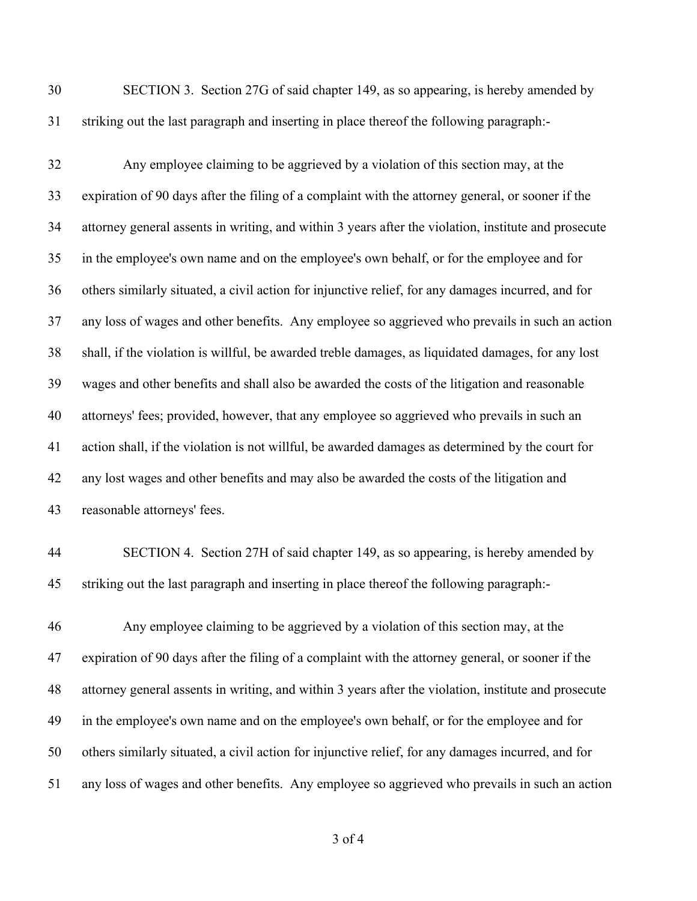SECTION 3. Section 27G of said chapter 149, as so appearing, is hereby amended by striking out the last paragraph and inserting in place thereof the following paragraph:-

 Any employee claiming to be aggrieved by a violation of this section may, at the expiration of 90 days after the filing of a complaint with the attorney general, or sooner if the attorney general assents in writing, and within 3 years after the violation, institute and prosecute in the employee's own name and on the employee's own behalf, or for the employee and for others similarly situated, a civil action for injunctive relief, for any damages incurred, and for any loss of wages and other benefits. Any employee so aggrieved who prevails in such an action shall, if the violation is willful, be awarded treble damages, as liquidated damages, for any lost wages and other benefits and shall also be awarded the costs of the litigation and reasonable attorneys' fees; provided, however, that any employee so aggrieved who prevails in such an action shall, if the violation is not willful, be awarded damages as determined by the court for any lost wages and other benefits and may also be awarded the costs of the litigation and reasonable attorneys' fees.

 SECTION 4. Section 27H of said chapter 149, as so appearing, is hereby amended by striking out the last paragraph and inserting in place thereof the following paragraph:-

 Any employee claiming to be aggrieved by a violation of this section may, at the expiration of 90 days after the filing of a complaint with the attorney general, or sooner if the attorney general assents in writing, and within 3 years after the violation, institute and prosecute in the employee's own name and on the employee's own behalf, or for the employee and for others similarly situated, a civil action for injunctive relief, for any damages incurred, and for any loss of wages and other benefits. Any employee so aggrieved who prevails in such an action

of 4